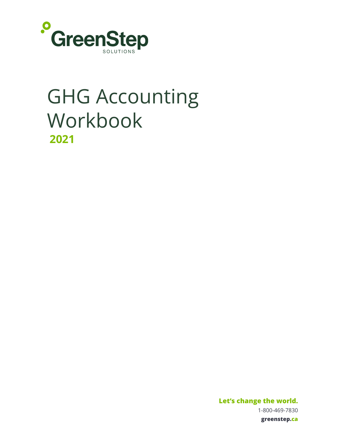

# GHG Accounting Workbook  **2021**

 **Let's change the world.**  1-800-469-7830  **greenstep.ca**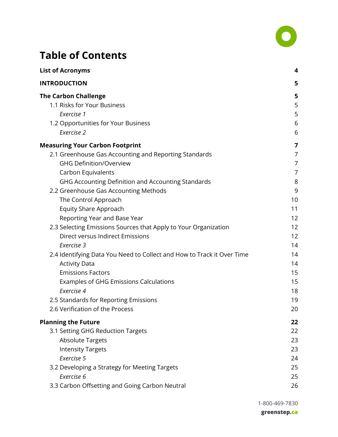

# **Table of Contents**

| <b>List of Acronyms</b>                                                | 4              |
|------------------------------------------------------------------------|----------------|
| <b>INTRODUCTION</b>                                                    | 5              |
| <b>The Carbon Challenge</b>                                            | 5              |
| 1.1 Risks for Your Business                                            | 5              |
| Exercise 1                                                             | 5              |
| 1.2 Opportunities for Your Business                                    | 6              |
| Exercise 2                                                             | 6              |
| <b>Measuring Your Carbon Footprint</b>                                 | 7              |
| 2.1 Greenhouse Gas Accounting and Reporting Standards                  | 7              |
| <b>GHG Definition/Overview</b>                                         | $\overline{7}$ |
| Carbon Equivalents                                                     | 7              |
| GHG Accounting Definition and Accounting Standards                     | 8              |
| 2.2 Greenhouse Gas Accounting Methods                                  | 9              |
| The Control Approach                                                   | 10             |
| <b>Equity Share Approach</b>                                           | 11             |
| Reporting Year and Base Year                                           | 12             |
| 2.3 Selecting Emissions Sources that Apply to Your Organization        | 12             |
| Direct versus Indirect Emissions                                       | 12             |
| Exercise 3                                                             | 14             |
| 2.4 Identifying Data You Need to Collect and How to Track it Over Time | 14             |
| <b>Activity Data</b>                                                   | 14             |
| <b>Emissions Factors</b>                                               | 15             |
| Examples of GHG Emissions Calculations                                 | 15             |
| Exercise 4                                                             | 18             |
| 2.5 Standards for Reporting Emissions                                  | 19             |
| 2.6 Verification of the Process                                        | 20             |
| <b>Planning the Future</b>                                             | 22             |
| 3.1 Setting GHG Reduction Targets                                      | 22             |
| <b>Absolute Targets</b>                                                | 23             |
| <b>Intensity Targets</b>                                               | 23             |
| Exercise 5                                                             | 24             |
| 3.2 Developing a Strategy for Meeting Targets                          | 25             |
| Exercise 6                                                             | 25             |
| 3.3 Carbon Offsetting and Going Carbon Neutral                         | 26             |

1-800-469-7830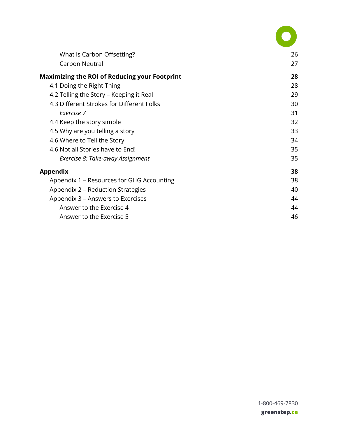| What is Carbon Offsetting?                           | 26 |
|------------------------------------------------------|----|
| Carbon Neutral                                       | 27 |
| <b>Maximizing the ROI of Reducing your Footprint</b> | 28 |
| 4.1 Doing the Right Thing                            | 28 |
| 4.2 Telling the Story - Keeping it Real              | 29 |
| 4.3 Different Strokes for Different Folks            | 30 |
| Exercise 7                                           | 31 |
| 4.4 Keep the story simple                            | 32 |
| 4.5 Why are you telling a story                      | 33 |
| 4.6 Where to Tell the Story                          | 34 |
| 4.6 Not all Stories have to End!                     | 35 |
| Exercise 8: Take-away Assignment                     | 35 |
| <b>Appendix</b>                                      | 38 |
| Appendix 1 - Resources for GHG Accounting            | 38 |
| Appendix 2 – Reduction Strategies                    | 40 |
| Appendix 3 – Answers to Exercises                    | 44 |
| Answer to the Exercise 4                             | 44 |
| Answer to the Exercise 5                             | 46 |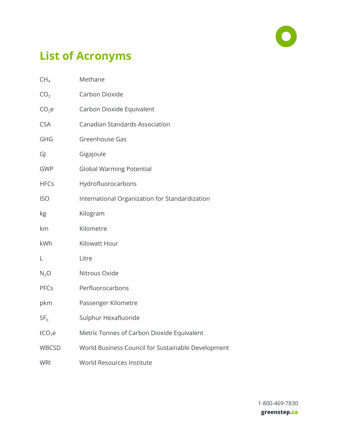

# <span id="page-3-0"></span> **List of Acronyms**

| CH <sub>4</sub>    | Methane                                            |
|--------------------|----------------------------------------------------|
| CO <sub>2</sub>    | Carbon Dioxide                                     |
| CO <sub>2</sub> e  | Carbon Dioxide Equivalent                          |
| <b>CSA</b>         | <b>Canadian Standards Association</b>              |
| <b>GHG</b>         | Greenhouse Gas                                     |
| GJ                 | Gigajoule                                          |
| <b>GWP</b>         | <b>Global Warming Potential</b>                    |
| <b>HFCs</b>        | Hydrofluorocarbons                                 |
| <b>ISO</b>         | International Organization for Standardization     |
| kg                 | Kilogram                                           |
| km                 | Kilometre                                          |
| kWh                | Kilowatt Hour                                      |
| L                  | Litre                                              |
| $N_2O$             | Nitrous Oxide                                      |
| PFCs               | Perfluorocarbons                                   |
| pkm                | Passenger Kilometre                                |
| SF <sub>6</sub>    | Sulphur Hexafluoride                               |
| tCO <sub>2</sub> e | Metric Tonnes of Carbon Dioxide Equivalent         |
| <b>WBCSD</b>       | World Business Council for Sustainable Development |
| <b>WRI</b>         | World Resources Institute                          |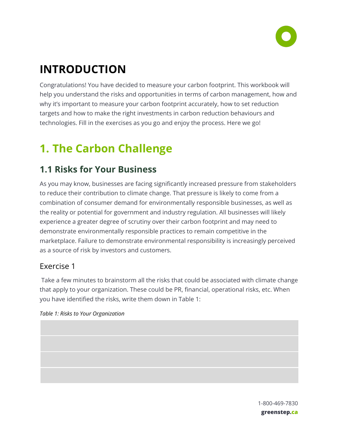

# <span id="page-4-0"></span> **INTRODUCTION**

 Congratulations! You have decided to measure your carbon footprint. This workbook will help you understand the risks and opportunities in terms of carbon management, how and why it's important to measure your carbon footprint accurately, how to set reduction targets and how to make the right investments in carbon reduction behaviours and technologies. Fill in the exercises as you go and enjoy the process. Here we go!

# <span id="page-4-1"></span> **1. The Carbon Challenge**

# <span id="page-4-2"></span> **1.1 Risks for Your Business**

 As you may know, businesses are facing significantly increased pressure from stakeholders to reduce their contribution to climate change. That pressure is likely to come from a combination of consumer demand for environmentally responsible businesses, as well as the reality or potential for government and industry regulation. All businesses will likely experience a greater degree of scrutiny over their carbon footprint and may need to demonstrate environmentally responsible practices to remain competitive in the marketplace. Failure to demonstrate environmental responsibility is increasingly perceived as a source of risk by investors and customers.

## <span id="page-4-3"></span>Exercise 1

 Take a few minutes to brainstorm all the risks that could be associated with climate change that apply to your organization. These could be PR, financial, operational risks, etc. When you have identified the risks, write them down in Table 1:



 1-800-469-7830  **greenstep.ca**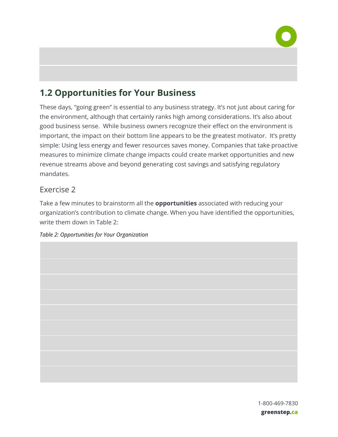

# <span id="page-5-0"></span> **1.2 Opportunities for Your Business**

 These days, "going green" is essential to any business strategy. It's not just about caring for the environment, although that certainly ranks high among considerations. It's also about good business sense. While business owners recognize their effect on the environment is important, the impact on their bottom line appears to be the greatest motivator. It's pretty simple: Using less energy and fewer resources saves money. Companies that take proactive measures to minimize climate change impacts could create market opportunities and new revenue streams above and beyond generating cost savings and satisfying regulatory mandates.

## <span id="page-5-1"></span>Exercise 2

 Take a few minutes to brainstorm all the **opportunities** associated with reducing your organization's contribution to climate change. When you have identified the opportunities, write them down in Table 2:

#### *Table 2: Opportunities for Your Organization*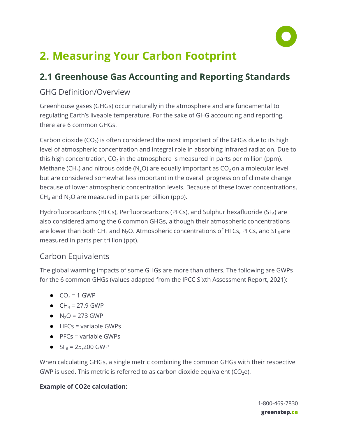

# <span id="page-6-0"></span> **2. Measuring Your Carbon Footprint**

# <span id="page-6-1"></span> **2.1 Greenhouse Gas Accounting and Reporting Standards**

## <span id="page-6-2"></span>GHG Definition/Overview

 Greenhouse gases (GHGs) occur naturally in the atmosphere and are fundamental to regulating Earth's liveable temperature. For the sake of GHG accounting and reporting, there are 6 common GHGs.

Carbon dioxide (CO<sub>2</sub>) is often considered the most important of the GHGs due to its high level of atmospheric concentration and integral role in absorbing infrared radiation. Due to this high concentration,  $CO<sub>2</sub>$  in the atmosphere is measured in parts per million (ppm). Methane (CH<sub>4</sub>) and nitrous oxide (N<sub>2</sub>O) are equally important as  $CO<sub>2</sub>$  on a molecular level but are considered somewhat less important in the overall progression of climate change because of lower atmospheric concentration levels. Because of these lower concentrations,  $CH_4$  and N<sub>2</sub>O are measured in parts per billion (ppb).

Hydrofluorocarbons (HFCs), Perfluorocarbons (PFCs), and Sulphur hexafluoride (SF $_6$ ) are also considered among the 6 common GHGs, although their atmospheric concentrations are lower than both CH<sub>4</sub> and N<sub>2</sub>O. Atmospheric concentrations of HFCs, PFCs, and SF<sub>6</sub> are measured in parts per trillion (ppt).

## <span id="page-6-3"></span>Carbon Equivalents

 The global warming impacts of some GHGs are more than others. The following are GWPs for the 6 common GHGs (values adapted from the IPCC Sixth Assessment Report, 2021):

- $\bullet$  CO<sub>2</sub> = 1 GWP
- $CH_4 = 27.9$  GWP
- $N_2O = 273$  GWP
- $\bullet$  HFCs = variable GWPs
- $\bullet$  PFCs = variable GWPs
- $SF_6 = 25,200$  GWP

 When calculating GHGs, a single metric combining the common GHGs with their respective GWP is used. This metric is referred to as carbon dioxide equivalent ( $CO<sub>2</sub>e$ ).

### **Example of CO2e calculation:**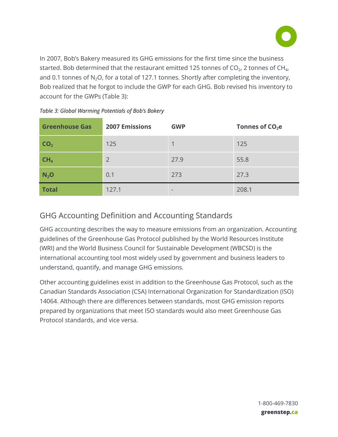

 In 2007, Bob's Bakery measured its GHG emissions for the first time since the business started. Bob determined that the restaurant emitted 125 tonnes of CO<sub>2</sub>, 2 tonnes of CH<sub>4</sub>, and 0.1 tonnes of N<sub>2</sub>O, for a total of 127.1 tonnes. Shortly after completing the inventory, Bob realized that he forgot to include the GWP for each GHG. Bob revised his inventory to account for the GWPs (Table 3):

| <b>Greenhouse Gas</b> | <b>2007 Emissions</b> | <b>GWP</b> | Tonnes of $CO2e$ |
|-----------------------|-----------------------|------------|------------------|
| CO <sub>2</sub>       | 125                   |            | 125              |
| CH <sub>4</sub>       | $\overline{2}$        | 27.9       | 55.8             |
| $N_2$ O               | 0.1                   | 273        | 27.3             |
| <b>Total</b>          | 127.1                 |            | 208.1            |

|  | Table 3: Global Warming Potentials of Bob's Bakery |
|--|----------------------------------------------------|
|--|----------------------------------------------------|

## <span id="page-7-0"></span>GHG Accounting Definition and Accounting Standards

 GHG accounting describes the way to measure emissions from an organization. Accounting guidelines of the Greenhouse Gas Protocol published by the World Resources Institute (WRI) and the World Business Council for Sustainable Development (WBCSD) is the international accounting tool most widely used by government and business leaders to understand, quantify, and manage GHG emissions.

 Other accounting guidelines exist in addition to the Greenhouse Gas Protocol, such as the Canadian Standards Association (CSA) International Organization for Standardization (ISO) 14064. Although there are differences between standards, most GHG emission reports prepared by organizations that meet ISO standards would also meet Greenhouse Gas Protocol standards, and vice versa.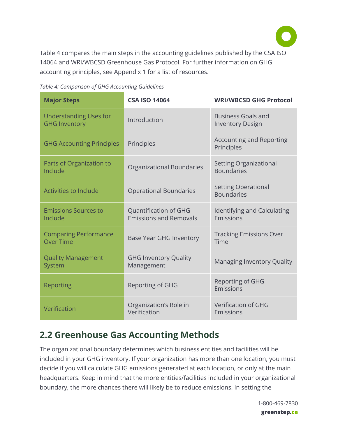

 Table 4 compares the main steps in the accounting guidelines published by the CSA ISO 14064 and WRI/WBCSD Greenhouse Gas Protocol. For further information on GHG accounting principles, see Appendix 1 for a list of resources.

 *Table 4: Comparison of GHG Accounting Guidelines* 

| <b>Major Steps</b>                                    | <b>CSA ISO 14064</b>                                   | <b>WRI/WBCSD GHG Protocol</b>                        |
|-------------------------------------------------------|--------------------------------------------------------|------------------------------------------------------|
| <b>Understanding Uses for</b><br><b>GHG Inventory</b> | Introduction                                           | <b>Business Goals and</b><br><b>Inventory Design</b> |
| <b>GHG Accounting Principles</b>                      | Principles                                             | <b>Accounting and Reporting</b><br>Principles        |
| Parts of Organization to<br>Include                   | Organizational Boundaries                              | <b>Setting Organizational</b><br><b>Boundaries</b>   |
| <b>Activities to Include</b>                          | <b>Operational Boundaries</b>                          | <b>Setting Operational</b><br><b>Boundaries</b>      |
| <b>Emissions Sources to</b><br>Include                | Quantification of GHG<br><b>Emissions and Removals</b> | Identifying and Calculating<br>Emissions             |
| <b>Comparing Performance</b><br><b>Over Time</b>      | <b>Base Year GHG Inventory</b>                         | <b>Tracking Emissions Over</b><br>Time               |
| <b>Quality Management</b><br>System                   | <b>GHG Inventory Quality</b><br>Management             | <b>Managing Inventory Quality</b>                    |
| Reporting                                             | <b>Reporting of GHG</b>                                | Reporting of GHG<br>Emissions                        |
| Verification                                          | Organization's Role in<br>Verification                 | <b>Verification of GHG</b><br>Emissions              |

# <span id="page-8-0"></span> **2.2 Greenhouse Gas Accounting Methods**

 The organizational boundary determines which business entities and facilities will be included in your GHG inventory. If your organization has more than one location, you must decide if you will calculate GHG emissions generated at each location, or only at the main headquarters. Keep in mind that the more entities/facilities included in your organizational boundary, the more chances there will likely be to reduce emissions. In setting the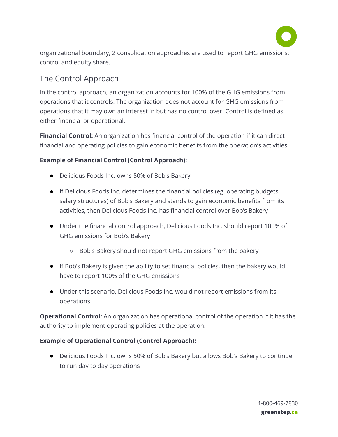

 organizational boundary, 2 consolidation approaches are used to report GHG emissions: control and equity share.

## <span id="page-9-0"></span>The Control Approach

 In the control approach, an organization accounts for 100% of the GHG emissions from operations that it controls. The organization does not account for GHG emissions from operations that it may own an interest in but has no control over. Control is defined as either financial or operational.

**Financial Control:** An organization has financial control of the operation if it can direct financial and operating policies to gain economic benefits from the operation's activities.

### **Example of Financial Control (Control Approach):**

- Delicious Foods Inc. owns 50% of Bob's Bakery
- If Delicious Foods Inc. determines the financial policies (eg. operating budgets, salary structures) of Bob's Bakery and stands to gain economic benefits from its activities, then Delicious Foods Inc. has financial control over Bob's Bakery
- Under the financial control approach, Delicious Foods Inc. should report 100% of GHG emissions for Bob's Bakery
	- Bob's Bakery should not report GHG emissions from the bakery
- If Bob's Bakery is given the ability to set financial policies, then the bakery would have to report 100% of the GHG emissions
- Under this scenario, Delicious Foods Inc. would not report emissions from its operations

 **Operational Control:** An organization has operational control of the operation if it has the authority to implement operating policies at the operation.

### **Example of Operational Control (Control Approach):**

 ● Delicious Foods Inc. owns 50% of Bob's Bakery but allows Bob's Bakery to continue to run day to day operations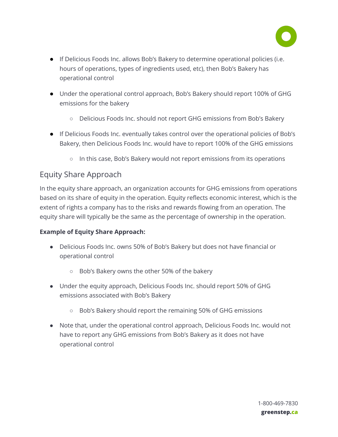

- If Delicious Foods Inc. allows Bob's Bakery to determine operational policies (i.e. hours of operations, types of ingredients used, etc), then Bob's Bakery has operational control
- Under the operational control approach, Bob's Bakery should report 100% of GHG emissions for the bakery
	- Delicious Foods Inc. should not report GHG emissions from Bob's Bakery
- If Delicious Foods Inc. eventually takes control over the operational policies of Bob's Bakery, then Delicious Foods Inc. would have to report 100% of the GHG emissions
	- In this case, Bob's Bakery would not report emissions from its operations

## <span id="page-10-0"></span>Equity Share Approach

 In the equity share approach, an organization accounts for GHG emissions from operations based on its share of equity in the operation. Equity reflects economic interest, which is the extent of rights a company has to the risks and rewards flowing from an operation. The equity share will typically be the same as the percentage of ownership in the operation.

#### **Example of Equity Share Approach:**

- Delicious Foods Inc. owns 50% of Bob's Bakery but does not have financial or operational control
	- Bob's Bakery owns the other 50% of the bakery
- Under the equity approach, Delicious Foods Inc. should report 50% of GHG emissions associated with Bob's Bakery
	- Bob's Bakery should report the remaining 50% of GHG emissions
- Note that, under the operational control approach, Delicious Foods Inc. would not have to report any GHG emissions from Bob's Bakery as it does not have operational control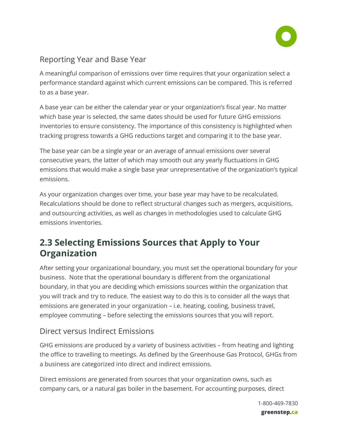

## <span id="page-11-0"></span>Reporting Year and Base Year

 A meaningful comparison of emissions over time requires that your organization select a performance standard against which current emissions can be compared. This is referred to as a base year.

 A base year can be either the calendar year or your organization's fiscal year. No matter which base year is selected, the same dates should be used for future GHG emissions inventories to ensure consistency. The importance of this consistency is highlighted when tracking progress towards a GHG reductions target and comparing it to the base year.

 The base year can be a single year or an average of annual emissions over several consecutive years, the latter of which may smooth out any yearly fluctuations in GHG emissions that would make a single base year unrepresentative of the organization's typical emissions.

 As your organization changes over time, your base year may have to be recalculated. Recalculations should be done to reflect structural changes such as mergers, acquisitions, and outsourcing activities, as well as changes in methodologies used to calculate GHG emissions inventories.

# <span id="page-11-1"></span> **2.3 Selecting Emissions Sources that Apply to Your Organization**

 After setting your organizational boundary, you must set the operational boundary for your business. Note that the operational boundary is different from the organizational boundary, in that you are deciding which emissions sources within the organization that you will track and try to reduce. The easiest way to do this is to consider all the ways that emissions are generated in your organization – i.e. heating, cooling, business travel, employee commuting – before selecting the emissions sources that you will report.

## <span id="page-11-2"></span>Direct versus Indirect Emissions

 GHG emissions are produced by a variety of business activities – from heating and lighting the office to travelling to meetings. As defined by the Greenhouse Gas Protocol, GHGs from a business are categorized into direct and indirect emissions.

 Direct emissions are generated from sources that your organization owns, such as company cars, or a natural gas boiler in the basement. For accounting purposes, direct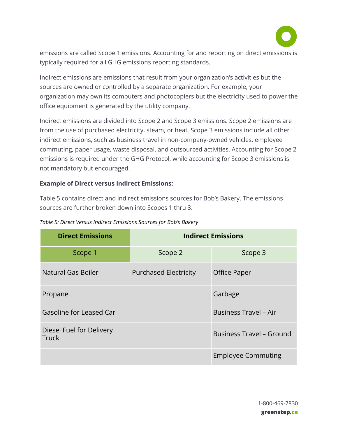

 emissions are called Scope 1 emissions. Accounting for and reporting on direct emissions is typically required for all GHG emissions reporting standards.

 Indirect emissions are emissions that result from your organization's activities but the sources are owned or controlled by a separate organization. For example, your organization may own its computers and photocopiers but the electricity used to power the office equipment is generated by the utility company.

 Indirect emissions are divided into Scope 2 and Scope 3 emissions. Scope 2 emissions are from the use of purchased electricity, steam, or heat. Scope 3 emissions include all other indirect emissions, such as business travel in non-company-owned vehicles, employee commuting, paper usage, waste disposal, and outsourced activities. Accounting for Scope 2 emissions is required under the GHG Protocol, while accounting for Scope 3 emissions is not mandatory but encouraged.

#### **Example of Direct versus Indirect Emissions:**

 Table 5 contains direct and indirect emissions sources for Bob's Bakery. The emissions sources are further broken down into Scopes 1 thru 3.

| <b>Direct Emissions</b>                  | <b>Indirect Emissions</b>    |                                 |  |
|------------------------------------------|------------------------------|---------------------------------|--|
| Scope 1                                  | Scope 2                      | Scope 3                         |  |
| Natural Gas Boiler                       | <b>Purchased Electricity</b> | Office Paper                    |  |
| Propane                                  |                              | Garbage                         |  |
| Gasoline for Leased Car                  |                              | <b>Business Travel - Air</b>    |  |
| Diesel Fuel for Delivery<br><b>Truck</b> |                              | <b>Business Travel - Ground</b> |  |
|                                          | <b>Employee Commuting</b>    |                                 |  |

| Table 5: Direct Versus Indirect Emissions Sources for Bob's Bakery |  |  |  |  |
|--------------------------------------------------------------------|--|--|--|--|
|                                                                    |  |  |  |  |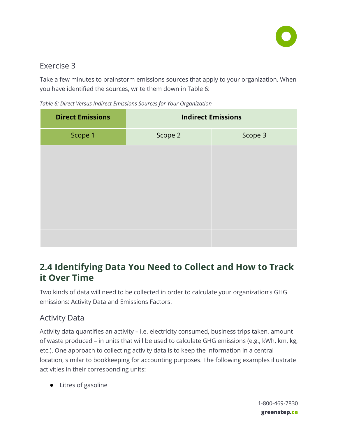

## <span id="page-13-0"></span>Exercise 3

 Take a few minutes to brainstorm emissions sources that apply to your organization. When you have identified the sources, write them down in Table 6:

 *Table 6: Direct Versus Indirect Emissions Sources for Your Organization* 

| <b>Direct Emissions</b> | <b>Indirect Emissions</b> |         |  |  |
|-------------------------|---------------------------|---------|--|--|
| Scope 1                 | Scope 2                   | Scope 3 |  |  |
|                         |                           |         |  |  |
|                         |                           |         |  |  |
|                         |                           |         |  |  |
|                         |                           |         |  |  |
|                         |                           |         |  |  |
|                         |                           |         |  |  |

# <span id="page-13-1"></span> **2.4 Identifying Data You Need to Collect and How to Track it Over Time**

 Two kinds of data will need to be collected in order to calculate your organization's GHG emissions: Activity Data and Emissions Factors.

## <span id="page-13-2"></span>Activity Data

 Activity data quantifies an activity – i.e. electricity consumed, business trips taken, amount of waste produced – in units that will be used to calculate GHG emissions (e.g., kWh, km, kg, etc.). One approach to collecting activity data is to keep the information in a central location, similar to bookkeeping for accounting purposes. The following examples illustrate activities in their corresponding units:

● Litres of gasoline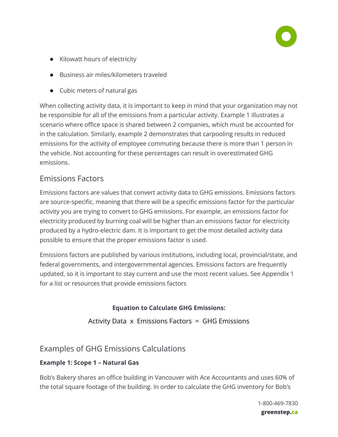

- Kilowatt hours of electricity
- Business air miles/kilometers traveled
- Cubic meters of natural gas

 When collecting activity data, it is important to keep in mind that your organization may not be responsible for all of the emissions from a particular activity. Example 1 illustrates a scenario where office space is shared between 2 companies, which must be accounted for in the calculation. Similarly, example 2 demonstrates that carpooling results in reduced emissions for the activity of employee commuting because there is more than 1 person in the vehicle. Not accounting for these percentages can result in overestimated GHG emissions.

## <span id="page-14-0"></span>Emissions Factors

 Emissions factors are values that convert activity data to GHG emissions. Emissions factors are source-specific, meaning that there will be a specific emissions factor for the particular activity you are trying to convert to GHG emissions. For example, an emissions factor for electricity produced by burning coal will be higher than an emissions factor for electricity produced by a hydro-electric dam. It is important to get the most detailed activity data possible to ensure that the proper emissions factor is used.

 Emissions factors are published by various institutions, including local, provincial/state, and federal governments, and intergovernmental agencies. Emissions factors are frequently updated, so it is important to stay current and use the most recent values. See Appendix 1 for a list or resources that provide emissions factors

## **Equation to Calculate GHG Emissions:**

Activity Data x Emissions Factors = GHG Emissions

## <span id="page-14-1"></span>Examples of GHG Emissions Calculations

## **Example 1: Scope 1 – Natural Gas**

 Bob's Bakery shares an office building in Vancouver with Ace Accountants and uses 60% of the total square footage of the building. In order to calculate the GHG inventory for Bob's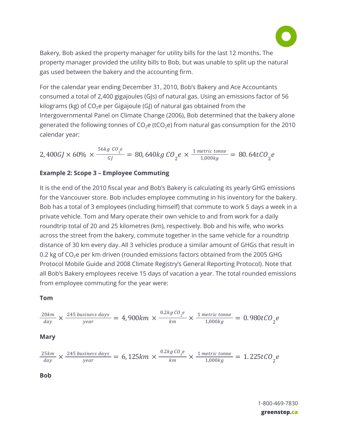

 Bakery, Bob asked the property manager for utility bills for the last 12 months. The property manager provided the utility bills to Bob, but was unable to split up the natural gas used between the bakery and the accounting firm.

 For the calendar year ending December 31, 2010, Bob's Bakery and Ace Accountants consumed a total of 2,400 gigajoules (GJs) of natural gas. Using an emissions factor of 56 kilograms (kg) of  $CO<sub>2</sub>e$  per Gigajoule (GJ) of natural gas obtained from the Intergovernmental Panel on Climate Change (2006), Bob determined that the bakery alone generated the following tonnes of  $CO<sub>2</sub>e$  (tCO<sub>2</sub>e) from natural gas consumption for the 2010 calendar year:

 $2,400 GJ \times 60\% \times \frac{56 kg \ CO_2 e}{GJ} = 80,640 kg \ CO_2 e \times \frac{1 \ metric \ tonne}{1,000 kg} = 80.64 t CO_2 e$ 

#### **Example 2: Scope 3 – Employee Commuting**

 **Tom** 

 It is the end of the 2010 fiscal year and Bob's Bakery is calculating its yearly GHG emissions for the Vancouver store. Bob includes employee commuting in his inventory for the bakery. Bob has a total of 3 employees (including himself) that commute to work 5 days a week in a private vehicle. Tom and Mary operate their own vehicle to and from work for a daily roundtrip total of 20 and 25 kilometres (km), respectively. Bob and his wife, who works across the street from the bakery, commute together in the same vehicle for a roundtrip distance of 30 km every day. All 3 vehicles produce a similar amount of GHGs that result in 0.2 kg of  $CO<sub>2</sub>e$  per km driven (rounded emissions factors obtained from the 2005 GHG Protocol Mobile Guide and 2008 Climate Registry's General Reporting Protocol). Note that all Bob's Bakery employees receive 15 days of vacation a year. The total rounded emissions from employee commuting for the year were:

$$
\frac{20km}{day} \times \frac{245 \text{ business days}}{\text{year}} = 4,900km \times \frac{0.2kg \text{ }CO_2e}{km} \times \frac{1 \text{ metric tonne}}{1,000kg} = 0.980t \text{ }CO_2e
$$
\n**Mary**

\n
$$
\frac{25km}{day} \times \frac{245 \text{ business days}}{\text{year}} = 6,125km \times \frac{0.2kg \text{ }CO_2e}{km} \times \frac{1 \text{ metric tonne}}{1,000kg} = 1.225t \text{ }CO_2e
$$
\n**Bob**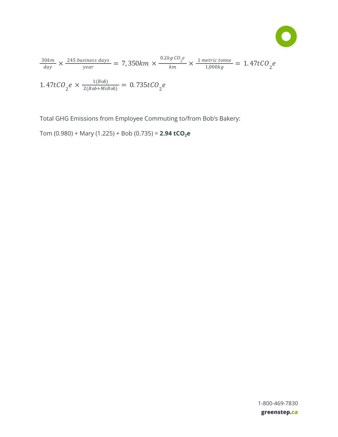$$
\bullet
$$

$$
\frac{30km}{day} \times \frac{245 \text{ business days}}{\text{year}} = 7,350km \times \frac{0.2kg \text{ }CO_2e}{km} \times \frac{1 \text{ metric tonne}}{1,000kg} = 1.47t \text{ }CO_2e
$$
\n
$$
1.47t \text{ }CO_2e \times \frac{1(Bob)}{2(Bob+MsBob)} = 0.735t \text{ }CO_2e
$$

Total GHG Emissions from Employee Commuting to/from Bob's Bakery:

<span id="page-16-0"></span>Tom (0.980) + Mary (1.225) + Bob (0.735) = **2.94 tCO 2 e**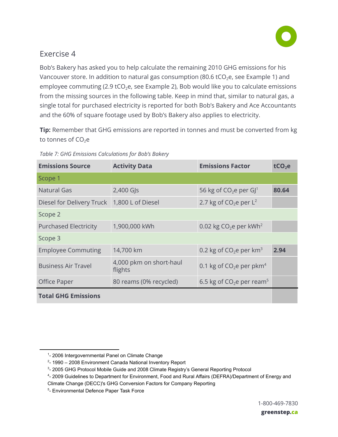

## Exercise 4

 Bob's Bakery has asked you to help calculate the remaining 2010 GHG emissions for his Vancouver store. In addition to natural gas consumption (80.6 tCO<sub>2</sub>e, see Example 1) and employee commuting (2.9 tCO<sub>2</sub>e, see Example 2), Bob would like you to calculate emissions from the missing sources in the following table. Keep in mind that, similar to natural gas, a single total for purchased electricity is reported for both Bob's Bakery and Ace Accountants and the 60% of square footage used by Bob's Bakery also applies to electricity.

**Tip:** Remember that GHG emissions are reported in tonnes and must be converted from kg to tonnes of  $CO<sub>2</sub>e$ 

| <b>Emissions Source</b>      | <b>Activity Data</b>                                 | <b>Emissions Factor</b><br>tCO <sub>2</sub> e |       |
|------------------------------|------------------------------------------------------|-----------------------------------------------|-------|
| Scope 1                      |                                                      |                                               |       |
| <b>Natural Gas</b>           | $2,400$ GJs                                          | 56 kg of $CO2e$ per GJ <sup>1</sup>           | 80.64 |
| Diesel for Delivery Truck    | 1,800 L of Diesel                                    | 2.7 kg of $CO2e$ per $L2$                     |       |
| Scope 2                      |                                                      |                                               |       |
| <b>Purchased Electricity</b> | 0.02 kg $CO2e$ per kWh <sup>2</sup><br>1,900,000 kWh |                                               |       |
| Scope 3                      |                                                      |                                               |       |
| <b>Employee Commuting</b>    | 14,700 km                                            | 0.2 kg of $CO2e$ per km <sup>3</sup>          | 2.94  |
| <b>Business Air Travel</b>   | 4,000 pkm on short-haul<br>flights                   | 0.1 kg of $CO2e$ per pkm <sup>4</sup>         |       |
| <b>Office Paper</b>          | 80 reams (0% recycled)                               | 6.5 kg of $CO2e$ per ream <sup>5</sup>        |       |
| <b>Total GHG Emissions</b>   |                                                      |                                               |       |

 *Table 7: GHG Emissions Calculations for Bob's Bakery* 

<sup>&</sup>lt;sup>1</sup>- 2006 Intergovernmental Panel on Climate Change

 $2-$  1990 – 2008 Environment Canada National Inventory Report

<sup>&</sup>lt;sup>3</sup>- 2005 GHG Protocol Mobile Guide and 2008 Climate Registry's General Reporting Protocol

<sup>4</sup>- 2009 Guidelines to Department for Environment, Food and Rural Affairs (DEFRA)/Department of Energy and

Climate Change (DECC)'s GHG Conversion Factors for Company Reporting

<sup>5</sup>- Environmental Defence Paper Task Force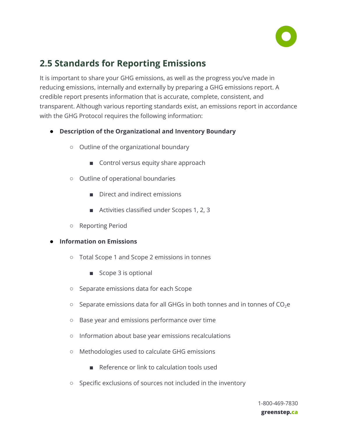

# <span id="page-18-0"></span> **2.5 Standards for Reporting Emissions**

 It is important to share your GHG emissions, as well as the progress you've made in reducing emissions, internally and externally by preparing a GHG emissions report. A credible report presents information that is accurate, complete, consistent, and transparent. Although various reporting standards exist, an emissions report in accordance with the GHG Protocol requires the following information:

- **● Description of the Organizational and Inventory Boundary**
	- Outline of the organizational boundary
		- Control versus equity share approach
	- Outline of operational boundaries
		- Direct and indirect emissions
		- Activities classified under Scopes 1, 2, 3
	- Reporting Period
- **● Information on Emissions**
	- Total Scope 1 and Scope 2 emissions in tonnes
		- Scope 3 is optional
	- Separate emissions data for each Scope
	- $\circ$  Separate emissions data for all GHGs in both tonnes and in tonnes of CO<sub>2</sub>e
	- Base year and emissions performance over time
	- Information about base year emissions recalculations
	- Methodologies used to calculate GHG emissions
		- Reference or link to calculation tools used
	- Specific exclusions of sources not included in the inventory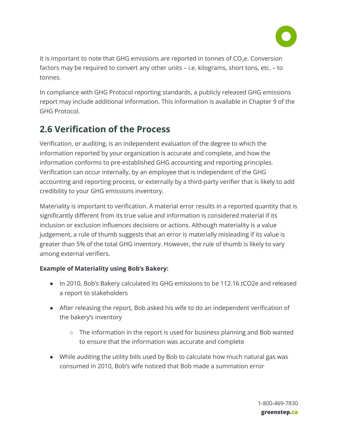

It is important to note that GHG emissions are reported in tonnes of  $CO<sub>2</sub>e$ . Conversion factors may be required to convert any other units – i.e. kilograms, short tons, etc. – to tonnes.

 In compliance with GHG Protocol reporting standards, a publicly released GHG emissions report may include additional information. This information is available in Chapter 9 of the GHG Protocol.

# <span id="page-19-0"></span> **2.6 Verification of the Process**

 Verification, or auditing, is an independent evaluation of the degree to which the information reported by your organization is accurate and complete, and how the information conforms to pre-established GHG accounting and reporting principles. Verification can occur internally, by an employee that is independent of the GHG accounting and reporting process, or externally by a third-party verifier that is likely to add credibility to your GHG emissions inventory.

 Materiality is important to verification. A material error results in a reported quantity that is significantly different from its true value and information is considered material if its inclusion or exclusion influences decisions or actions. Although materiality is a value judgement, a rule of thumb suggests that an error is materially misleading if its value is greater than 5% of the total GHG inventory. However, the rule of thumb is likely to vary among external verifiers.

### **Example of Materiality using Bob's Bakery:**

- In 2010, Bob's Bakery calculated its GHG emissions to be 112.16 tCO2e and released a report to stakeholders
- After releasing the report, Bob asked his wife to do an independent verification of the bakery's inventory
	- The information in the report is used for business planning and Bob wanted to ensure that the information was accurate and complete
- While auditing the utility bills used by Bob to calculate how much natural gas was consumed in 2010, Bob's wife noticed that Bob made a summation error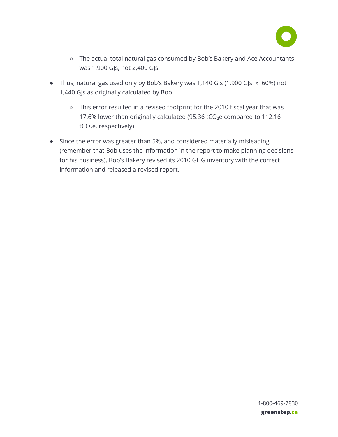

- The actual total natural gas consumed by Bob's Bakery and Ace Accountants was 1,900 GJs, not 2,400 GJs
- Thus, natural gas used only by Bob's Bakery was 1,140 GJs (1,900 GJs x 60%) not 1,440 GJs as originally calculated by Bob
	- This error resulted in a revised footprint for the 2010 fiscal year that was 17.6% lower than originally calculated (95.36 tCO<sub>2</sub>e compared to 112.16  $tCO<sub>2</sub>e$ , respectively)
- Since the error was greater than 5%, and considered materially misleading (remember that Bob uses the information in the report to make planning decisions for his business), Bob's Bakery revised its 2010 GHG inventory with the correct information and released a revised report.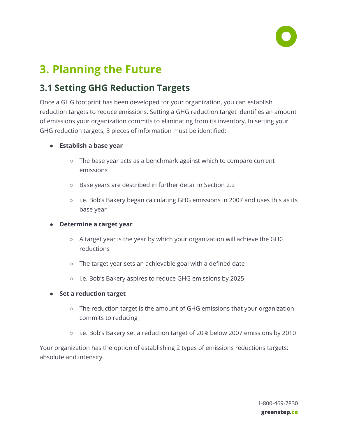

# <span id="page-21-0"></span> **3. Planning the Future**

# <span id="page-21-1"></span> **3.1 Setting GHG Reduction Targets**

 Once a GHG footprint has been developed for your organization, you can establish reduction targets to reduce emissions. Setting a GHG reduction target identifies an amount of emissions your organization commits to eliminating from its inventory. In setting your GHG reduction targets, 3 pieces of information must be identified:

- **● Establish a base year**
	- The base year acts as a benchmark against which to compare current emissions
	- Base years are described in further detail in Section 2.2
	- i.e. Bob's Bakery began calculating GHG emissions in 2007 and uses this as its base year

#### **● Determine a target year**

- A target year is the year by which your organization will achieve the GHG reductions
- The target year sets an achievable goal with a defined date
- i.e. Bob's Bakery aspires to reduce GHG emissions by 2025
- **● Set a reduction target**
	- The reduction target is the amount of GHG emissions that your organization commits to reducing
	- i.e. Bob's Bakery set a reduction target of 20% below 2007 emissions by 2010

 Your organization has the option of establishing 2 types of emissions reductions targets: absolute and intensity.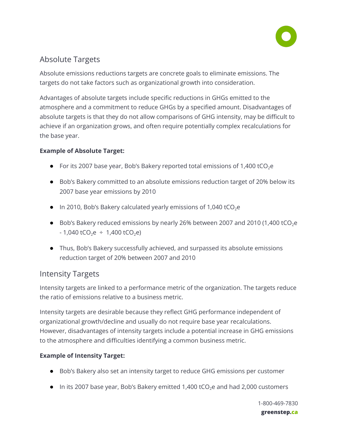

## <span id="page-22-0"></span>Absolute Targets

 Absolute emissions reductions targets are concrete goals to eliminate emissions. The targets do not take factors such as organizational growth into consideration.

 Advantages of absolute targets include specific reductions in GHGs emitted to the atmosphere and a commitment to reduce GHGs by a specified amount. Disadvantages of absolute targets is that they do not allow comparisons of GHG intensity, may be difficult to achieve if an organization grows, and often require potentially complex recalculations for the base year.

### **Example of Absolute Target:**

- For its 2007 base year, Bob's Bakery reported total emissions of 1,400 tCO<sub>2</sub>e
- Bob's Bakery committed to an absolute emissions reduction target of 20% below its 2007 base year emissions by 2010
- In 2010, Bob's Bakery calculated yearly emissions of 1,040 tCO<sub>2</sub>e
- Bob's Bakery reduced emissions by nearly 26% between 2007 and 2010 (1,400 tCO<sub>2</sub>e  $- 1,040$  tCO<sub>2</sub> ÷ 1,400 tCO<sub>2</sub>e)
- Thus, Bob's Bakery successfully achieved, and surpassed its absolute emissions reduction target of 20% between 2007 and 2010

## <span id="page-22-1"></span>Intensity Targets

 Intensity targets are linked to a performance metric of the organization. The targets reduce the ratio of emissions relative to a business metric.

 Intensity targets are desirable because they reflect GHG performance independent of organizational growth/decline and usually do not require base year recalculations. However, disadvantages of intensity targets include a potential increase in GHG emissions to the atmosphere and difficulties identifying a common business metric.

### **Example of Intensity Target:**

- Bob's Bakery also set an intensity target to reduce GHG emissions per customer
- $\bullet$  In its 2007 base year, Bob's Bakery emitted 1,400 tCO<sub>2</sub>e and had 2,000 customers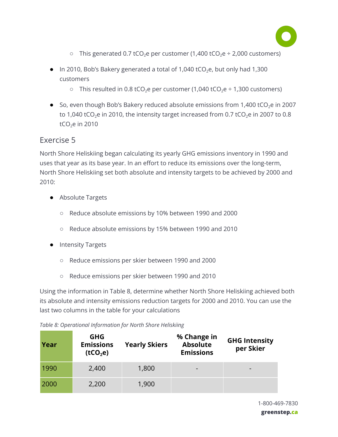

- $\circ$  This generated 0.7 tCO<sub>2</sub>e per customer (1,400 tCO<sub>2</sub>e ÷ 2,000 customers)
- $\bullet$  In 2010, Bob's Bakery generated a total of 1,040 tCO<sub>2</sub>e, but only had 1,300 customers
	- $\circ$  This resulted in 0.8 tCO<sub>2</sub> e per customer (1,040 tCO<sub>2</sub> e  $\div$  1,300 customers)
- So, even though Bob's Bakery reduced absolute emissions from 1,400 tCO<sub>2</sub>e in 2007 to 1,040 tCO<sub>2</sub>e in 2010, the intensity target increased from 0.7 tCO<sub>2</sub>e in 2007 to 0.8 tCO<sub>2</sub>e in 2010

## <span id="page-23-0"></span>Exercise 5

 North Shore Heliskiing began calculating its yearly GHG emissions inventory in 1990 and uses that year as its base year. In an effort to reduce its emissions over the long-term, North Shore Heliskiing set both absolute and intensity targets to be achieved by 2000 and 2010:

- Absolute Targets
	- Reduce absolute emissions by 10% between 1990 and 2000
	- Reduce absolute emissions by 15% between 1990 and 2010
- Intensity Targets
	- Reduce emissions per skier between 1990 and 2000
	- Reduce emissions per skier between 1990 and 2010

 Using the information in Table 8, determine whether North Shore Heliskiing achieved both its absolute and intensity emissions reduction targets for 2000 and 2010. You can use the last two columns in the table for your calculations

 *Table 8: Operational Information for North Shore Heliskiing* 

| Year | <b>GHG</b><br><b>Emissions</b><br>(tCO <sub>2</sub> e) | <b>Yearly Skiers</b> | % Change in<br><b>Absolute</b><br><b>Emissions</b> | <b>GHG Intensity</b><br>per Skier |
|------|--------------------------------------------------------|----------------------|----------------------------------------------------|-----------------------------------|
| 1990 | 2,400                                                  | 1,800                | -                                                  |                                   |
| 2000 | 2,200                                                  | 1,900                |                                                    |                                   |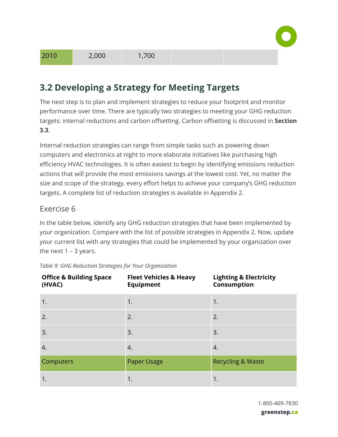

# <span id="page-24-0"></span> **3.2 Developing a Strategy for Meeting Targets**

 The next step is to plan and implement strategies to reduce your footprint and monitor performance over time. There are typically two strategies to meeting your GHG reduction targets: internal reductions and carbon offsetting. Carbon offsetting is discussed in **Section 3.3** .

 Internal reduction strategies can range from simple tasks such as powering down computers and electronics at night to more elaborate initiatives like purchasing high efficiency HVAC technologies. It is often easiest to begin by identifying emissions reduction actions that will provide the most emissions savings at the lowest cost. Yet, no matter the size and scope of the strategy, every effort helps to achieve your company's GHG reduction targets. A complete list of reduction strategies is available in Appendix 2.

## <span id="page-24-1"></span>Exercise 6

 In the table below, identify any GHG reduction strategies that have been implemented by your organization. Compare with the list of possible strategies in Appendix 2. Now, update your current list with any strategies that could be implemented by your organization over the next  $1 - 3$  years.

| <b>Office &amp; Building Space</b><br>(HVAC) | <b>Fleet Vehicles &amp; Heavy</b><br><b>Equipment</b> | <b>Lighting &amp; Electricity</b><br>Consumption |
|----------------------------------------------|-------------------------------------------------------|--------------------------------------------------|
| 1.                                           | 1.                                                    | 1.                                               |
| 2.                                           | 2.                                                    | 2.                                               |
| 3.                                           | 3.                                                    | 3.                                               |
| 4.                                           | 4.                                                    | 4.                                               |
| Computers                                    | Paper Usage                                           | <b>Recycling &amp; Waste</b>                     |
| 1.                                           | 1.                                                    | 1.                                               |

#### *Table 9: GHG Reduction Strategies for Your Organization*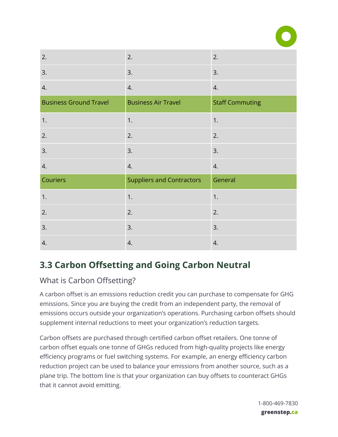

| 2.                            | 2.                               | 2.                     |
|-------------------------------|----------------------------------|------------------------|
| 3.                            | 3.                               | 3.                     |
| 4.                            | 4.                               | 4.                     |
| <b>Business Ground Travel</b> | <b>Business Air Travel</b>       | <b>Staff Commuting</b> |
| 1.                            | 1.                               | 1.                     |
| 2.                            | 2.                               | 2.                     |
| 3.                            | 3.                               | 3.                     |
| 4.                            | 4.                               | 4.                     |
| Couriers                      | <b>Suppliers and Contractors</b> | General                |
| 1.                            | 1.                               | 1.                     |
| 2.                            | 2.                               | 2.                     |
| 3.                            | 3.                               | 3.                     |
| 4.                            | 4.                               | 4.                     |

# <span id="page-25-0"></span> **3.3 Carbon Offsetting and Going Carbon Neutral**

## <span id="page-25-1"></span>What is Carbon Offsetting?

 A carbon offset is an emissions reduction credit you can purchase to compensate for GHG emissions. Since you are buying the credit from an independent party, the removal of emissions occurs outside your organization's operations. Purchasing carbon offsets should supplement internal reductions to meet your organization's reduction targets.

 Carbon offsets are purchased through certified carbon offset retailers. One tonne of carbon offset equals one tonne of GHGs reduced from high-quality projects like energy efficiency programs or fuel switching systems. For example, an energy efficiency carbon reduction project can be used to balance your emissions from another source, such as a plane trip. The bottom line is that your organization can buy offsets to counteract GHGs that it cannot avoid emitting.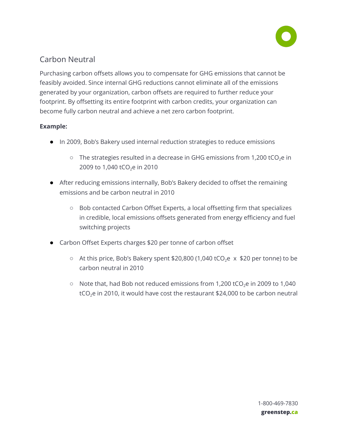

## <span id="page-26-0"></span>Carbon Neutral

 Purchasing carbon offsets allows you to compensate for GHG emissions that cannot be feasibly avoided. Since internal GHG reductions cannot eliminate all of the emissions generated by your organization, carbon offsets are required to further reduce your footprint. By offsetting its entire footprint with carbon credits, your organization can become fully carbon neutral and achieve a net zero carbon footprint.

### **Example:**

- In 2009, Bob's Bakery used internal reduction strategies to reduce emissions
	- $\circ$  The strategies resulted in a decrease in GHG emissions from 1,200 tCO<sub>2</sub>e in 2009 to 1,040 tCO<sub>2</sub>e in 2010
- After reducing emissions internally, Bob's Bakery decided to offset the remaining emissions and be carbon neutral in 2010
	- Bob contacted Carbon Offset Experts, a local offsetting firm that specializes in credible, local emissions offsets generated from energy efficiency and fuel switching projects
- Carbon Offset Experts charges \$20 per tonne of carbon offset
	- At this price, Bob's Bakery spent \$20,800 (1,040 tCO<sub>2</sub>e  $\times$  \$20 per tonne) to be carbon neutral in 2010
	- $\circ$  Note that, had Bob not reduced emissions from 1,200 tCO<sub>2</sub>e in 2009 to 1,040 tCO<sub>2</sub>e in 2010, it would have cost the restaurant \$24,000 to be carbon neutral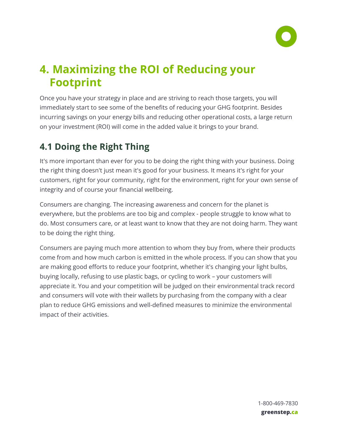

# <span id="page-27-0"></span> **4. Maximizing the ROI of Reducing your Footprint**

 Once you have your strategy in place and are striving to reach those targets, you will immediately start to see some of the benefits of reducing your GHG footprint. Besides incurring savings on your energy bills and reducing other operational costs, a large return on your investment (ROI) will come in the added value it brings to your brand.

# <span id="page-27-1"></span> **4.1 Doing the Right Thing**

 It's more important than ever for you to be doing the right thing with your business. Doing the right thing doesn't just mean it's good for your business. It means it's right for your customers, right for your community, right for the environment, right for your own sense of integrity and of course your financial wellbeing.

 Consumers are changing. The increasing awareness and concern for the planet is everywhere, but the problems are too big and complex - people struggle to know what to do. Most consumers care, or at least want to know that they are not doing harm. They want to be doing the right thing.

 Consumers are paying much more attention to whom they buy from, where their products come from and how much carbon is emitted in the whole process. If you can show that you are making good efforts to reduce your footprint, whether it's changing your light bulbs, buying locally, refusing to use plastic bags, or cycling to work – your customers will appreciate it. You and your competition will be judged on their environmental track record and consumers will vote with their wallets by purchasing from the company with a clear plan to reduce GHG emissions and well-defined measures to minimize the environmental impact of their activities.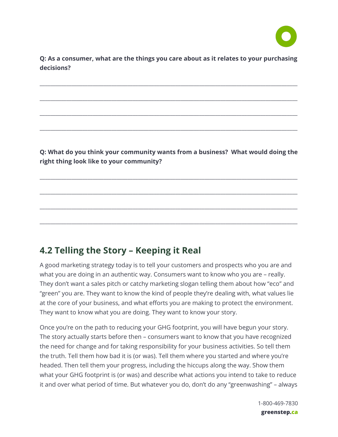

 **Q: As a consumer, what are the things you care about as it relates to your purchasing decisions?** 

\_\_\_\_\_\_\_\_\_\_\_\_\_\_\_\_\_\_\_\_\_\_\_\_\_\_\_\_\_\_\_\_\_\_\_\_\_\_\_\_\_\_\_\_\_\_\_\_\_\_\_\_\_\_\_\_\_\_\_\_\_\_\_\_\_\_\_\_\_\_\_\_\_\_\_\_\_\_\_\_\_\_\_\_\_\_\_\_\_\_\_\_\_\_\_\_\_

\_\_\_\_\_\_\_\_\_\_\_\_\_\_\_\_\_\_\_\_\_\_\_\_\_\_\_\_\_\_\_\_\_\_\_\_\_\_\_\_\_\_\_\_\_\_\_\_\_\_\_\_\_\_\_\_\_\_\_\_\_\_\_\_\_\_\_\_\_\_\_\_\_\_\_\_\_\_\_\_\_\_\_\_\_\_\_\_\_\_\_\_\_\_\_\_\_

\_\_\_\_\_\_\_\_\_\_\_\_\_\_\_\_\_\_\_\_\_\_\_\_\_\_\_\_\_\_\_\_\_\_\_\_\_\_\_\_\_\_\_\_\_\_\_\_\_\_\_\_\_\_\_\_\_\_\_\_\_\_\_\_\_\_\_\_\_\_\_\_\_\_\_\_\_\_\_\_\_\_\_\_\_\_\_\_\_\_\_\_\_\_\_\_\_

\_\_\_\_\_\_\_\_\_\_\_\_\_\_\_\_\_\_\_\_\_\_\_\_\_\_\_\_\_\_\_\_\_\_\_\_\_\_\_\_\_\_\_\_\_\_\_\_\_\_\_\_\_\_\_\_\_\_\_\_\_\_\_\_\_\_\_\_\_\_\_\_\_\_\_\_\_\_\_\_\_\_\_\_\_\_\_\_\_\_\_\_\_\_\_\_\_

 **Q: What do you think your community wants from a business? What would doing the right thing look like to your community?** 

\_\_\_\_\_\_\_\_\_\_\_\_\_\_\_\_\_\_\_\_\_\_\_\_\_\_\_\_\_\_\_\_\_\_\_\_\_\_\_\_\_\_\_\_\_\_\_\_\_\_\_\_\_\_\_\_\_\_\_\_\_\_\_\_\_\_\_\_\_\_\_\_\_\_\_\_\_\_\_\_\_\_\_\_\_\_\_\_\_\_\_\_\_\_\_\_\_

\_\_\_\_\_\_\_\_\_\_\_\_\_\_\_\_\_\_\_\_\_\_\_\_\_\_\_\_\_\_\_\_\_\_\_\_\_\_\_\_\_\_\_\_\_\_\_\_\_\_\_\_\_\_\_\_\_\_\_\_\_\_\_\_\_\_\_\_\_\_\_\_\_\_\_\_\_\_\_\_\_\_\_\_\_\_\_\_\_\_\_\_\_\_\_\_\_

\_\_\_\_\_\_\_\_\_\_\_\_\_\_\_\_\_\_\_\_\_\_\_\_\_\_\_\_\_\_\_\_\_\_\_\_\_\_\_\_\_\_\_\_\_\_\_\_\_\_\_\_\_\_\_\_\_\_\_\_\_\_\_\_\_\_\_\_\_\_\_\_\_\_\_\_\_\_\_\_\_\_\_\_\_\_\_\_\_\_\_\_\_\_\_\_\_

\_\_\_\_\_\_\_\_\_\_\_\_\_\_\_\_\_\_\_\_\_\_\_\_\_\_\_\_\_\_\_\_\_\_\_\_\_\_\_\_\_\_\_\_\_\_\_\_\_\_\_\_\_\_\_\_\_\_\_\_\_\_\_\_\_\_\_\_\_\_\_\_\_\_\_\_\_\_\_\_\_\_\_\_\_\_\_\_\_\_\_\_\_\_\_\_\_

# <span id="page-28-0"></span> **4.2 Telling the Story – Keeping it Real**

 A good marketing strategy today is to tell your customers and prospects who you are and what you are doing in an authentic way. Consumers want to know who you are – really. They don't want a sales pitch or catchy marketing slogan telling them about how "eco" and "green" you are. They want to know the kind of people they're dealing with, what values lie at the core of your business, and what efforts you are making to protect the environment. They want to know what you are doing. They want to know your story.

 Once you're on the path to reducing your GHG footprint, you will have begun your story. The story actually starts before then – consumers want to know that you have recognized the need for change and for taking responsibility for your business activities. So tell them the truth. Tell them how bad it is (or was). Tell them where you started and where you're headed. Then tell them your progress, including the hiccups along the way. Show them what your GHG footprint is (or was) and describe what actions you intend to take to reduce it and over what period of time. But whatever you do, don't do any "greenwashing" – always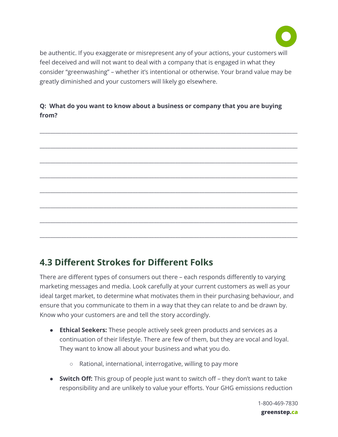

 be authentic. If you exaggerate or misrepresent any of your actions, your customers will feel deceived and will not want to deal with a company that is engaged in what they consider "greenwashing" – whether it's intentional or otherwise. Your brand value may be greatly diminished and your customers will likely go elsewhere.

## **Q: What do you want to know about a business or company that you are buying from?**



# <span id="page-29-0"></span> **4.3 Different Strokes for Different Folks**

 There are different types of consumers out there – each responds differently to varying marketing messages and media. Look carefully at your current customers as well as your ideal target market, to determine what motivates them in their purchasing behaviour, and ensure that you communicate to them in a way that they can relate to and be drawn by. Know who your customers are and tell the story accordingly.

- ● **Ethical Seekers:** These people actively seek green products and services as a continuation of their lifestyle. There are few of them, but they are vocal and loyal. They want to know all about your business and what you do.
	- Rational, international, interrogative, willing to pay more
- **● Switch Off:** This group of people just want to switch off they don't want to take responsibility and are unlikely to value your efforts. Your GHG emissions reduction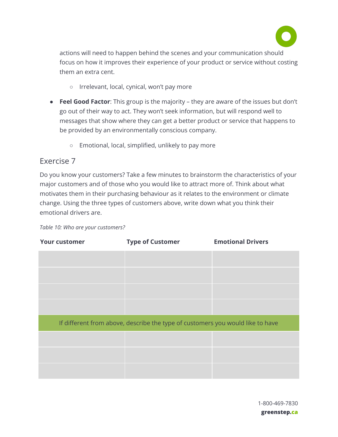

 actions will need to happen behind the scenes and your communication should focus on how it improves their experience of your product or service without costing them an extra cent.

- Irrelevant, local, cynical, won't pay more
- **Feel Good Factor**: This group is the majority they are aware of the issues but don't go out of their way to act. They won't seek information, but will respond well to messages that show where they can get a better product or service that happens to be provided by an environmentally conscious company.
	- Emotional, local, simplified, unlikely to pay more

## <span id="page-30-0"></span>Exercise 7

 Do you know your customers? Take a few minutes to brainstorm the characteristics of your major customers and of those who you would like to attract more of. Think about what motivates them in their purchasing behaviour as it relates to the environment or climate change. Using the three types of customers above, write down what you think their emotional drivers are.

|  |  | Table 10: Who are your customers? |
|--|--|-----------------------------------|
|  |  |                                   |

| <b>Your customer</b> | <b>Type of Customer</b>                                                        | <b>Emotional Drivers</b> |
|----------------------|--------------------------------------------------------------------------------|--------------------------|
|                      |                                                                                |                          |
|                      |                                                                                |                          |
|                      |                                                                                |                          |
|                      |                                                                                |                          |
|                      | If different from above, describe the type of customers you would like to have |                          |
|                      |                                                                                |                          |
|                      |                                                                                |                          |
|                      |                                                                                |                          |

 1-800-469-7830  **greenstep.ca**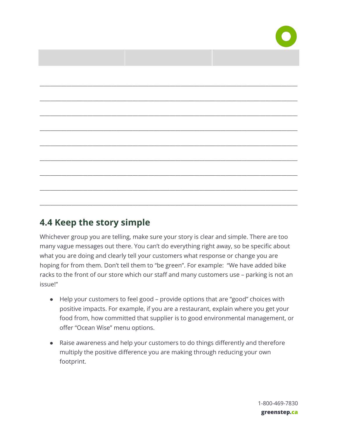

| <u> 1999 - Johann Barnett, fransk politiker (</u> |  |
|---------------------------------------------------|--|
|                                                   |  |
|                                                   |  |
|                                                   |  |
|                                                   |  |
|                                                   |  |
|                                                   |  |
|                                                   |  |
|                                                   |  |
|                                                   |  |
|                                                   |  |
|                                                   |  |

# <span id="page-31-0"></span> **4.4 Keep the story simple**

 Whichever group you are telling, make sure your story is clear and simple. There are too many vague messages out there. You can't do everything right away, so be specific about what you are doing and clearly tell your customers what response or change you are hoping for from them. Don't tell them to "be green". For example: "We have added bike racks to the front of our store which our staff and many customers use – parking is not an issue!"

- Help your customers to feel good provide options that are "good" choices with positive impacts. For example, if you are a restaurant, explain where you get your food from, how committed that supplier is to good environmental management, or offer "Ocean Wise" menu options.
- Raise awareness and help your customers to do things differently and therefore multiply the positive difference you are making through reducing your own footprint.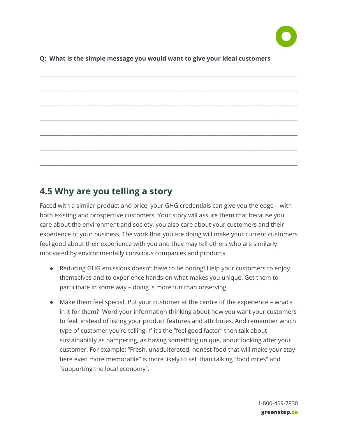

#### **Q: What is the simple message you would want to give your ideal customers**

# \_\_\_\_\_\_\_\_\_\_\_\_\_\_\_\_\_\_\_\_\_\_\_\_\_\_\_\_\_\_\_\_\_\_\_\_\_\_\_\_\_\_\_\_\_\_\_\_\_\_\_\_\_\_\_\_\_\_\_\_\_\_\_\_\_\_\_\_\_\_\_\_\_\_\_\_\_\_\_\_\_\_\_\_\_\_\_\_\_\_\_\_\_\_\_\_\_ \_\_\_\_\_\_\_\_\_\_\_\_\_\_\_\_\_\_\_\_\_\_\_\_\_\_\_\_\_\_\_\_\_\_\_\_\_\_\_\_\_\_\_\_\_\_\_\_\_\_\_\_\_\_\_\_\_\_\_\_\_\_\_\_\_\_\_\_\_\_\_\_\_\_\_\_\_\_\_\_\_\_\_\_\_\_\_\_\_\_\_\_\_\_\_\_\_ \_\_\_\_\_\_\_\_\_\_\_\_\_\_\_\_\_\_\_\_\_\_\_\_\_\_\_\_\_\_\_\_\_\_\_\_\_\_\_\_\_\_\_\_\_\_\_\_\_\_\_\_\_\_\_\_\_\_\_\_\_\_\_\_\_\_\_\_\_\_\_\_\_\_\_\_\_\_\_\_\_\_\_\_\_\_\_\_\_\_\_\_\_\_\_\_\_ \_\_\_\_\_\_\_\_\_\_\_\_\_\_\_\_\_\_\_\_\_\_\_\_\_\_\_\_\_\_\_\_\_\_\_\_\_\_\_\_\_\_\_\_\_\_\_\_\_\_\_\_\_\_\_\_\_\_\_\_\_\_\_\_\_\_\_\_\_\_\_\_\_\_\_\_\_\_\_\_\_\_\_\_\_\_\_\_\_\_\_\_\_\_\_\_\_ \_\_\_\_\_\_\_\_\_\_\_\_\_\_\_\_\_\_\_\_\_\_\_\_\_\_\_\_\_\_\_\_\_\_\_\_\_\_\_\_\_\_\_\_\_\_\_\_\_\_\_\_\_\_\_\_\_\_\_\_\_\_\_\_\_\_\_\_\_\_\_\_\_\_\_\_\_\_\_\_\_\_\_\_\_\_\_\_\_\_\_\_\_\_\_\_\_ \_\_\_\_\_\_\_\_\_\_\_\_\_\_\_\_\_\_\_\_\_\_\_\_\_\_\_\_\_\_\_\_\_\_\_\_\_\_\_\_\_\_\_\_\_\_\_\_\_\_\_\_\_\_\_\_\_\_\_\_\_\_\_\_\_\_\_\_\_\_\_\_\_\_\_\_\_\_\_\_\_\_\_\_\_\_\_\_\_\_\_\_\_\_\_\_\_ \_\_\_\_\_\_\_\_\_\_\_\_\_\_\_\_\_\_\_\_\_\_\_\_\_\_\_\_\_\_\_\_\_\_\_\_\_\_\_\_\_\_\_\_\_\_\_\_\_\_\_\_\_\_\_\_\_\_\_\_\_\_\_\_\_\_\_\_\_\_\_\_\_\_\_\_\_\_\_\_\_\_\_\_\_\_\_\_\_\_\_\_\_\_\_\_\_

## <span id="page-32-0"></span> **4.5 Why are you telling a story**

 Faced with a similar product and price, your GHG credentials can give you the edge – with both existing and prospective customers. Your story will assure them that because you care about the environment and society, you also care about your customers and their experience of your business. The work that you are doing will make your current customers feel good about their experience with you and they may tell others who are similarly motivated by environmentally conscious companies and products.

- Reducing GHG emissions doesn't have to be boring! Help your customers to enjoy themselves and to experience hands-on what makes you unique. Get them to participate in some way – doing is more fun than observing.
- Make them feel special. Put your customer at the centre of the experience what's in it for them? Word your information thinking about how you want your customers to feel, instead of listing your product features and attributes. And remember which type of customer you're telling. If it's the "feel good factor" then talk about sustainability as pampering, as having something unique, about looking after your customer. For example: "Fresh, unadulterated, honest food that will make your stay here even more memorable" is more likely to sell than talking "food miles" and "supporting the local economy".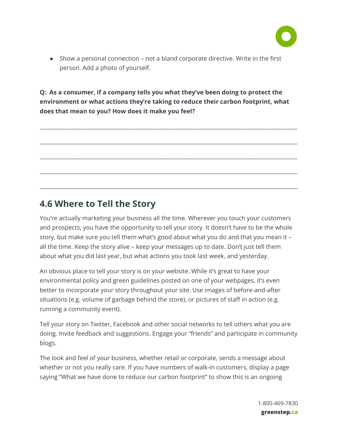

 ● Show a personal connection – not a bland corporate directive. Write in the first person. Add a photo of yourself.

 **Q: As a consumer, if a company tells you what they've been doing to protect the environment or what actions they're taking to reduce their carbon footprint, what does that mean to you? How does it make you feel?** 

\_\_\_\_\_\_\_\_\_\_\_\_\_\_\_\_\_\_\_\_\_\_\_\_\_\_\_\_\_\_\_\_\_\_\_\_\_\_\_\_\_\_\_\_\_\_\_\_\_\_\_\_\_\_\_\_\_\_\_\_\_\_\_\_\_\_\_\_\_\_\_\_\_\_\_\_\_\_\_\_\_\_\_\_\_\_\_\_\_\_\_\_\_\_\_\_\_

\_\_\_\_\_\_\_\_\_\_\_\_\_\_\_\_\_\_\_\_\_\_\_\_\_\_\_\_\_\_\_\_\_\_\_\_\_\_\_\_\_\_\_\_\_\_\_\_\_\_\_\_\_\_\_\_\_\_\_\_\_\_\_\_\_\_\_\_\_\_\_\_\_\_\_\_\_\_\_\_\_\_\_\_\_\_\_\_\_\_\_\_\_\_\_\_\_

\_\_\_\_\_\_\_\_\_\_\_\_\_\_\_\_\_\_\_\_\_\_\_\_\_\_\_\_\_\_\_\_\_\_\_\_\_\_\_\_\_\_\_\_\_\_\_\_\_\_\_\_\_\_\_\_\_\_\_\_\_\_\_\_\_\_\_\_\_\_\_\_\_\_\_\_\_\_\_\_\_\_\_\_\_\_\_\_\_\_\_\_\_\_\_\_\_

\_\_\_\_\_\_\_\_\_\_\_\_\_\_\_\_\_\_\_\_\_\_\_\_\_\_\_\_\_\_\_\_\_\_\_\_\_\_\_\_\_\_\_\_\_\_\_\_\_\_\_\_\_\_\_\_\_\_\_\_\_\_\_\_\_\_\_\_\_\_\_\_\_\_\_\_\_\_\_\_\_\_\_\_\_\_\_\_\_\_\_\_\_\_\_\_\_

\_\_\_\_\_\_\_\_\_\_\_\_\_\_\_\_\_\_\_\_\_\_\_\_\_\_\_\_\_\_\_\_\_\_\_\_\_\_\_\_\_\_\_\_\_\_\_\_\_\_\_\_\_\_\_\_\_\_\_\_\_\_\_\_\_\_\_\_\_\_\_\_\_\_\_\_\_\_\_\_\_\_\_\_\_\_\_\_\_\_\_\_\_\_\_\_\_

# <span id="page-33-0"></span> **4.6 Where to Tell the Story**

 You're actually marketing your business all the time. Wherever you touch your customers and prospects, you have the opportunity to tell your story. It doesn't have to be the whole story, but make sure you tell them what's good about what you do and that you mean it – all the time. Keep the story alive – keep your messages up to date. Don't just tell them about what you did last year, but what actions you took last week, and yesterday.

 An obvious place to tell your story is on your website. While it's great to have your environmental policy and green guidelines posted on one of your webpages, it's even better to incorporate your story throughout your site. Use images of before-and-after situations (e.g. volume of garbage behind the store), or pictures of staff in action (e.g. running a community event).

 Tell your story on Twitter, Facebook and other social networks to tell others what you are doing. Invite feedback and suggestions. Engage your "friends" and participate in community blogs.

 The look and feel of your business, whether retail or corporate, sends a message about whether or not you really care. If you have numbers of walk-in customers, display a page saying "What we have done to reduce our carbon footprint" to show this is an ongoing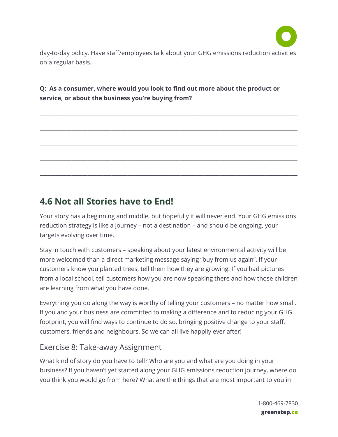

 day-to-day policy. Have staff/employees talk about your GHG emissions reduction activities on a regular basis.

\_\_\_\_\_\_\_\_\_\_\_\_\_\_\_\_\_\_\_\_\_\_\_\_\_\_\_\_\_\_\_\_\_\_\_\_\_\_\_\_\_\_\_\_\_\_\_\_\_\_\_\_\_\_\_\_\_\_\_\_\_\_\_\_\_\_\_\_\_\_\_\_\_\_\_\_\_\_\_\_\_\_\_\_\_\_\_\_\_\_\_\_\_\_\_\_\_

\_\_\_\_\_\_\_\_\_\_\_\_\_\_\_\_\_\_\_\_\_\_\_\_\_\_\_\_\_\_\_\_\_\_\_\_\_\_\_\_\_\_\_\_\_\_\_\_\_\_\_\_\_\_\_\_\_\_\_\_\_\_\_\_\_\_\_\_\_\_\_\_\_\_\_\_\_\_\_\_\_\_\_\_\_\_\_\_\_\_\_\_\_\_\_\_\_

\_\_\_\_\_\_\_\_\_\_\_\_\_\_\_\_\_\_\_\_\_\_\_\_\_\_\_\_\_\_\_\_\_\_\_\_\_\_\_\_\_\_\_\_\_\_\_\_\_\_\_\_\_\_\_\_\_\_\_\_\_\_\_\_\_\_\_\_\_\_\_\_\_\_\_\_\_\_\_\_\_\_\_\_\_\_\_\_\_\_\_\_\_\_\_\_\_

\_\_\_\_\_\_\_\_\_\_\_\_\_\_\_\_\_\_\_\_\_\_\_\_\_\_\_\_\_\_\_\_\_\_\_\_\_\_\_\_\_\_\_\_\_\_\_\_\_\_\_\_\_\_\_\_\_\_\_\_\_\_\_\_\_\_\_\_\_\_\_\_\_\_\_\_\_\_\_\_\_\_\_\_\_\_\_\_\_\_\_\_\_\_\_\_\_

\_\_\_\_\_\_\_\_\_\_\_\_\_\_\_\_\_\_\_\_\_\_\_\_\_\_\_\_\_\_\_\_\_\_\_\_\_\_\_\_\_\_\_\_\_\_\_\_\_\_\_\_\_\_\_\_\_\_\_\_\_\_\_\_\_\_\_\_\_\_\_\_\_\_\_\_\_\_\_\_\_\_\_\_\_\_\_\_\_\_\_\_\_\_\_\_\_

## **Q: As a consumer, where would you look to find out more about the product or service, or about the business you're buying from?**

# <span id="page-34-0"></span> **4.6 Not all Stories have to End!**

 Your story has a beginning and middle, but hopefully it will never end. Your GHG emissions reduction strategy is like a journey – not a destination – and should be ongoing, your targets evolving over time.

 Stay in touch with customers – speaking about your latest environmental activity will be more welcomed than a direct marketing message saying "buy from us again". If your customers know you planted trees, tell them how they are growing. If you had pictures from a local school, tell customers how you are now speaking there and how those children are learning from what you have done.

 Everything you do along the way is worthy of telling your customers – no matter how small. If you and your business are committed to making a difference and to reducing your GHG footprint, you will find ways to continue to do so, bringing positive change to your staff, customers, friends and neighbours. So we can all live happily ever after!

## <span id="page-34-1"></span>Exercise 8: Take-away Assignment

 What kind of story do you have to tell? Who are you and what are you doing in your business? If you haven't yet started along your GHG emissions reduction journey, where do you think you would go from here? What are the things that are most important to you in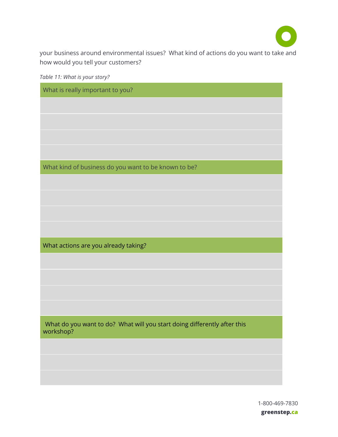

 your business around environmental issues? What kind of actions do you want to take and how would you tell your customers?

 *Table 11: What is your story?* 

| What is really important to you?                                                      |
|---------------------------------------------------------------------------------------|
|                                                                                       |
|                                                                                       |
|                                                                                       |
|                                                                                       |
|                                                                                       |
| What kind of business do you want to be known to be?                                  |
|                                                                                       |
|                                                                                       |
|                                                                                       |
|                                                                                       |
| What actions are you already taking?                                                  |
|                                                                                       |
|                                                                                       |
|                                                                                       |
|                                                                                       |
|                                                                                       |
|                                                                                       |
| What do you want to do? What will you start doing differently after this<br>workshop? |
|                                                                                       |
|                                                                                       |
|                                                                                       |

 1-800-469-7830  **greenstep.ca**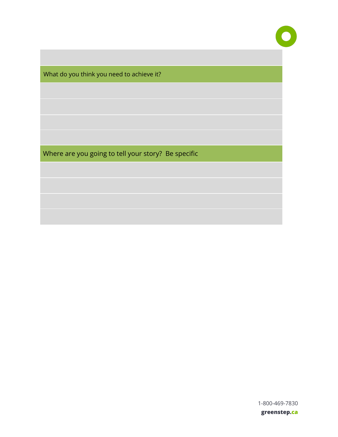What do you think you need to achieve it?

Where are you going to tell your story? Be specific

1-800-469-7830

 **greenstep.ca**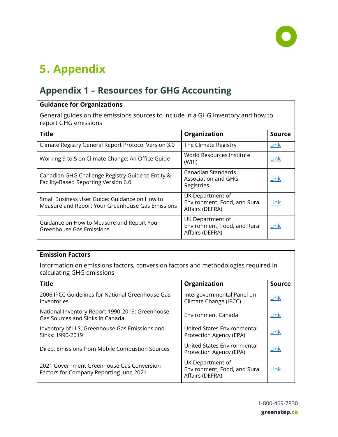

# <span id="page-37-0"></span>**5. Appendix**

# <span id="page-37-1"></span>**Appendix 1 – Resources for GHG Accounting**

## **Guidance for Organizations**

 General guides on the emissions sources to include in a GHG inventory and how to report GHG emissions

| <b>Title</b>                                                                                      | Organization                                                        | <b>Source</b> |
|---------------------------------------------------------------------------------------------------|---------------------------------------------------------------------|---------------|
| Climate Registry General Report Protocol Version 3.0                                              | The Climate Registry                                                | Link          |
| Working 9 to 5 on Climate Change: An Office Guide                                                 | World Resources Institute<br>(WRI)                                  | Link          |
| Canadian GHG Challenge Registry Guide to Entity &<br>Facility-Based Reporting Version 6.0         | Canadian Standards<br>Association and GHG<br>Registries             | Link          |
| Small Business User Guide: Guidance on How to<br>Measure and Report Your Greenhouse Gas Emissions | UK Department of<br>Environment, Food, and Rural<br>Affairs (DEFRA) | Link          |
| Guidance on How to Measure and Report Your<br>Greenhouse Gas Emissions                            | UK Department of<br>Environment, Food, and Rural<br>Affairs (DEFRA) | Link          |

#### **Emission Factors**

 Information on emissions factors, conversion factors and methodologies required in calculating GHG emissions

| <b>Title</b>                                                                         | Organization                                                        | <b>Source</b> |
|--------------------------------------------------------------------------------------|---------------------------------------------------------------------|---------------|
| 2006 IPCC Guidelines for National Greenhouse Gas<br>Inventories                      | Intergovernmental Panel on<br>Climate Change (IPCC)                 | Link          |
| National Inventory Report 1990-2019: Greenhouse<br>Gas Sources and Sinks in Canada   | <b>Environment Canada</b>                                           | Link          |
| Inventory of U.S. Greenhouse Gas Emissions and<br>Sinks: 1990-2019                   | United States Environmental<br>Protection Agency (EPA)              | Link          |
| Direct Emissions from Mobile Combustion Sources                                      | United States Environmental<br>Protection Agency (EPA)              | Link          |
| 2021 Government Greenhouse Gas Conversion<br>Factors for Company Reporting June 2021 | UK Department of<br>Environment, Food, and Rural<br>Affairs (DEFRA) | Link          |

1-800-469-7830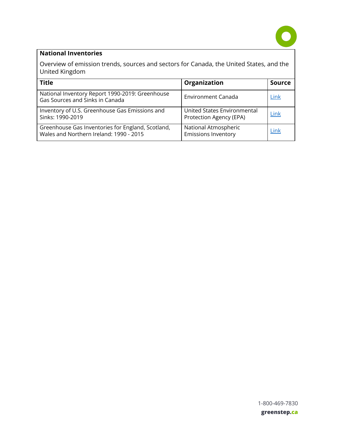

## **National Inventories**

 Overview of emission trends, sources and sectors for Canada, the United States, and the United Kingdom

<span id="page-38-0"></span>

| <b>Title</b>                                                                                 | Organization                                           | <b>Source</b> |
|----------------------------------------------------------------------------------------------|--------------------------------------------------------|---------------|
| National Inventory Report 1990-2019: Greenhouse<br>Gas Sources and Sinks in Canada           | <b>Environment Canada</b>                              | Link          |
| Inventory of U.S. Greenhouse Gas Emissions and<br>Sinks: 1990-2019                           | United States Environmental<br>Protection Agency (EPA) | Link          |
| Greenhouse Gas Inventories for England, Scotland,<br>Wales and Northern Ireland: 1990 - 2015 | National Atmospheric<br><b>Emissions Inventory</b>     | Link          |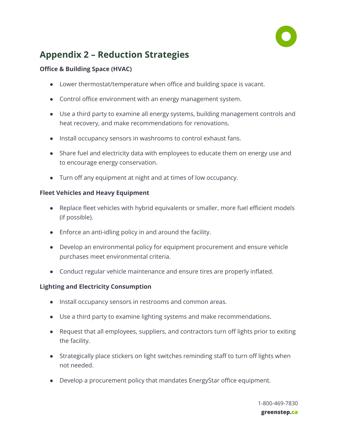

# **Appendix 2 – Reduction Strategies**

### **Office & Building Space (HVAC)**

- Lower thermostat/temperature when office and building space is vacant.
- Control office environment with an energy management system.
- Use a third party to examine all energy systems, building management controls and heat recovery, and make recommendations for renovations.
- Install occupancy sensors in washrooms to control exhaust fans.
- Share fuel and electricity data with employees to educate them on energy use and to encourage energy conservation.
- Turn off any equipment at night and at times of low occupancy.

### **Fleet Vehicles and Heavy Equipment**

- Replace fleet vehicles with hybrid equivalents or smaller, more fuel efficient models (if possible).
- Enforce an anti-idling policy in and around the facility.
- Develop an environmental policy for equipment procurement and ensure vehicle purchases meet environmental criteria.
- Conduct regular vehicle maintenance and ensure tires are properly inflated.

## **Lighting and Electricity Consumption**

- Install occupancy sensors in restrooms and common areas.
- Use a third party to examine lighting systems and make recommendations.
- Request that all employees, suppliers, and contractors turn off lights prior to exiting the facility.
- Strategically place stickers on light switches reminding staff to turn off lights when not needed.
- Develop a procurement policy that mandates EnergyStar office equipment.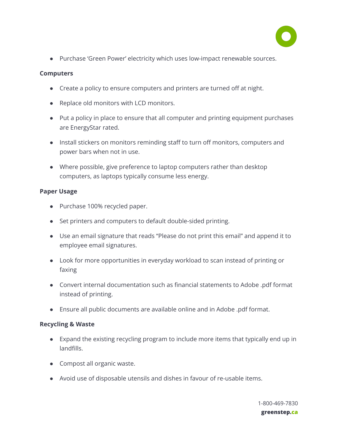

● Purchase 'Green Power' electricity which uses low-impact renewable sources.

#### **Computers**

- Create a policy to ensure computers and printers are turned off at night.
- Replace old monitors with LCD monitors.
- Put a policy in place to ensure that all computer and printing equipment purchases are EnergyStar rated.
- Install stickers on monitors reminding staff to turn off monitors, computers and power bars when not in use.
- Where possible, give preference to laptop computers rather than desktop computers, as laptops typically consume less energy.

#### **Paper Usage**

- Purchase 100% recycled paper.
- Set printers and computers to default double-sided printing.
- Use an email signature that reads "Please do not print this email" and append it to employee email signatures.
- Look for more opportunities in everyday workload to scan instead of printing or faxing
- Convert internal documentation such as financial statements to Adobe .pdf format instead of printing.
- Ensure all public documents are available online and in Adobe .pdf format.

#### **Recycling & Waste**

- Expand the existing recycling program to include more items that typically end up in landfills.
- Compost all organic waste.
- Avoid use of disposable utensils and dishes in favour of re-usable items.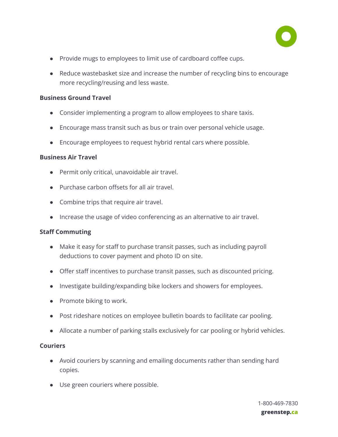

- Provide mugs to employees to limit use of cardboard coffee cups.
- Reduce wastebasket size and increase the number of recycling bins to encourage more recycling/reusing and less waste.

#### **Business Ground Travel**

- Consider implementing a program to allow employees to share taxis.
- Encourage mass transit such as bus or train over personal vehicle usage.
- Encourage employees to request hybrid rental cars where possible.

#### **Business Air Travel**

- Permit only critical, unavoidable air travel.
- Purchase carbon offsets for all air travel.
- Combine trips that require air travel.
- Increase the usage of video conferencing as an alternative to air travel.

#### **Staff Commuting**

- Make it easy for staff to purchase transit passes, such as including payroll deductions to cover payment and photo ID on site.
- Offer staff incentives to purchase transit passes, such as discounted pricing.
- Investigate building/expanding bike lockers and showers for employees.
- Promote biking to work.
- Post rideshare notices on employee bulletin boards to facilitate car pooling.
- Allocate a number of parking stalls exclusively for car pooling or hybrid vehicles.

#### **Couriers**

- Avoid couriers by scanning and emailing documents rather than sending hard copies.
- Use green couriers where possible.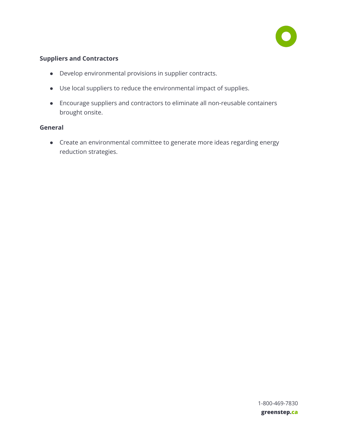

### **Suppliers and Contractors**

- Develop environmental provisions in supplier contracts.
- Use local suppliers to reduce the environmental impact of supplies.
- Encourage suppliers and contractors to eliminate all non-reusable containers brought onsite.

#### **General**

<span id="page-42-0"></span> ● Create an environmental committee to generate more ideas regarding energy reduction strategies.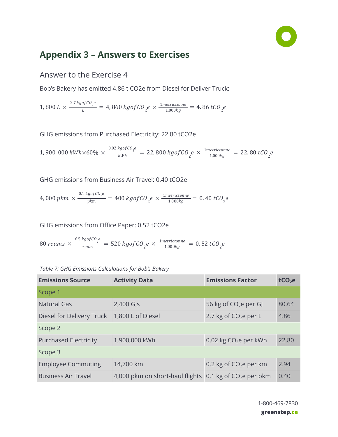

# **Appendix 3 – Answers to Exercises**

## <span id="page-43-0"></span>Answer to the Exercise 4

Bob's Bakery has emitted 4.86 t CO2e from Diesel for Deliver Truck:

1,800  $L \times \frac{2.7 \, kgofCO_{2}e}{L} = 4,860 \, kgofCO_{2}e \times \frac{1 \, m \, e \, trictonne}{1,000 \, kg} = 4.86 \, tCO_{2}e$ 

GHG emissions from Purchased Electricity: 22.80 tCO2e

1, 900, 000 kWh×60%  $\times \frac{^{0.02\,kgofCO}e}{^{kWh}} = 22,800\,kgofCO_{2}e \times \frac{1\,metrictonne}{1,000kg} = 22.80\,tCO_{2}e$ 

GHG emissions from Business Air Travel: 0.40 tCO2e

4,000 pkm  $\times \frac{0.1 \, kgofCO_{2}e}{pkm} = 400 \, kgofCO_{2}e \times \frac{1\, metrictonne}{1,000kg} = 0.40 \, tCO_{2}e$ 

GHG emissions from Office Paper: 0.52 tCO2e

80 reams  $\times \frac{6.5 \text{ kgofCO}_{2}e}{\text{ream}} = 520 \text{ kgofCO}_{2}e \times \frac{1\text{metrictonne}}{1,000 \text{ kg}} = 0.52 \text{ tCO}_{2}e$ 

 *Table 7: GHG Emissions Calculations for Bob's Bakery* 

| <b>Emissions Source</b>      | <b>Activity Data</b>            | <b>Emissions Factor</b>  | tCO <sub>2</sub> e |
|------------------------------|---------------------------------|--------------------------|--------------------|
| Scope 1                      |                                 |                          |                    |
| <b>Natural Gas</b>           | $2,400$ GJs                     | 56 kg of $CO2e$ per GJ   | 80.64              |
| Diesel for Delivery Truck    | 1,800 L of Diesel               | 2.7 kg of $CO2e$ per L   | 4.86               |
| Scope 2                      |                                 |                          |                    |
| <b>Purchased Electricity</b> | 1,900,000 kWh                   | 0.02 kg $CO2e$ per kWh   | 22.80              |
| Scope 3                      |                                 |                          |                    |
| <b>Employee Commuting</b>    | 14,700 km                       | 0.2 kg of $CO2e$ per km  | 2.94               |
| <b>Business Air Travel</b>   | 4,000 pkm on short-haul flights | 0.1 kg of $CO2e$ per pkm | 0.40               |

 1-800-469-7830  **greenstep.ca**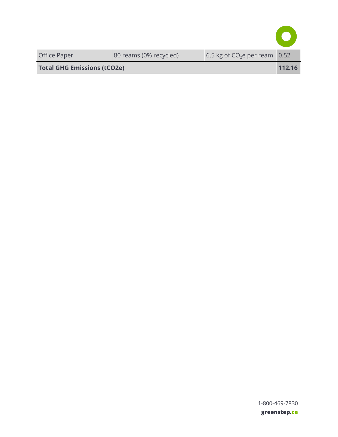<span id="page-44-0"></span>

| Office Paper                       | 80 reams (0% recycled) | 6.5 kg of $CO2e$ per ream $\vert 0.52 \rangle$ |        |
|------------------------------------|------------------------|------------------------------------------------|--------|
| <b>Total GHG Emissions (tCO2e)</b> |                        |                                                | 112.16 |

 1-800-469-7830  **greenstep.ca**